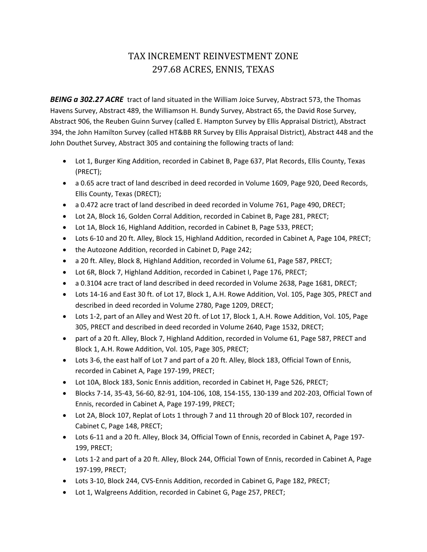## TAX INCREMENT REINVESTMENT ZONE 297.68 ACRES, ENNIS, TEXAS

*BEING a 302.27 ACRE* tract of land situated in the William Joice Survey, Abstract 573, the Thomas Havens Survey, Abstract 489, the Williamson H. Bundy Survey, Abstract 65, the David Rose Survey, Abstract 906, the Reuben Guinn Survey (called E. Hampton Survey by Ellis Appraisal District), Abstract 394, the John Hamilton Survey (called HT&BB RR Survey by Ellis Appraisal District), Abstract 448 and the John Douthet Survey, Abstract 305 and containing the following tracts of land:

- Lot 1, Burger King Addition, recorded in Cabinet B, Page 637, Plat Records, Ellis County, Texas (PRECT);
- a 0.65 acre tract of land described in deed recorded in Volume 1609, Page 920, Deed Records, Ellis County, Texas (DRECT);
- a 0.472 acre tract of land described in deed recorded in Volume 761, Page 490, DRECT;
- Lot 2A, Block 16, Golden Corral Addition, recorded in Cabinet B, Page 281, PRECT;
- Lot 1A, Block 16, Highland Addition, recorded in Cabinet B, Page 533, PRECT;
- Lots 6-10 and 20 ft. Alley, Block 15, Highland Addition, recorded in Cabinet A, Page 104, PRECT;
- the Autozone Addition, recorded in Cabinet D, Page 242;
- a 20 ft. Alley, Block 8, Highland Addition, recorded in Volume 61, Page 587, PRECT;
- Lot 6R, Block 7, Highland Addition, recorded in Cabinet I, Page 176, PRECT;
- a 0.3104 acre tract of land described in deed recorded in Volume 2638, Page 1681, DRECT;
- Lots 14-16 and East 30 ft. of Lot 17, Block 1, A.H. Rowe Addition, Vol. 105, Page 305, PRECT and described in deed recorded in Volume 2780, Page 1209, DRECT;
- Lots 1-2, part of an Alley and West 20 ft. of Lot 17, Block 1, A.H. Rowe Addition, Vol. 105, Page 305, PRECT and described in deed recorded in Volume 2640, Page 1532, DRECT;
- part of a 20 ft. Alley, Block 7, Highland Addition, recorded in Volume 61, Page 587, PRECT and Block 1, A.H. Rowe Addition, Vol. 105, Page 305, PRECT;
- Lots 3-6, the east half of Lot 7 and part of a 20 ft. Alley, Block 183, Official Town of Ennis, recorded in Cabinet A, Page 197‐199, PRECT;
- Lot 10A, Block 183, Sonic Ennis addition, recorded in Cabinet H, Page 526, PRECT;
- Blocks 7‐14, 35‐43, 56‐60, 82‐91, 104‐106, 108, 154‐155, 130‐139 and 202‐203, Official Town of Ennis, recorded in Cabinet A, Page 197‐199, PRECT;
- Lot 2A, Block 107, Replat of Lots 1 through 7 and 11 through 20 of Block 107, recorded in Cabinet C, Page 148, PRECT;
- Lots 6-11 and a 20 ft. Alley, Block 34, Official Town of Ennis, recorded in Cabinet A, Page 197-199, PRECT;
- Lots 1-2 and part of a 20 ft. Alley, Block 244, Official Town of Ennis, recorded in Cabinet A, Page 197‐199, PRECT;
- Lots 3-10, Block 244, CVS-Ennis Addition, recorded in Cabinet G, Page 182, PRECT;
- Lot 1, Walgreens Addition, recorded in Cabinet G, Page 257, PRECT;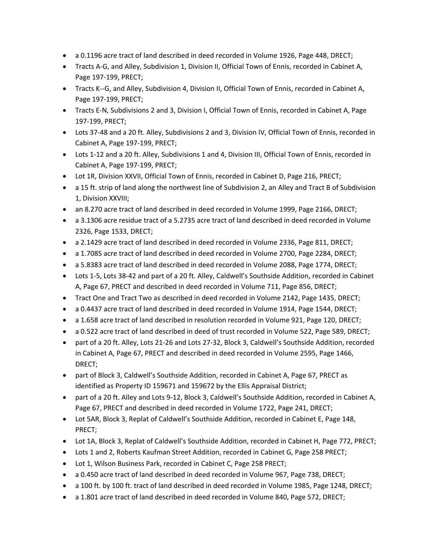- a 0.1196 acre tract of land described in deed recorded in Volume 1926, Page 448, DRECT;
- Tracts A‐G, and Alley, Subdivision 1, Division II, Official Town of Ennis, recorded in Cabinet A, Page 197‐199, PRECT;
- Tracts K--G, and Alley, Subdivision 4, Division II, Official Town of Ennis, recorded in Cabinet A, Page 197‐199, PRECT;
- Tracts E‐N, Subdivisions 2 and 3, Division I, Official Town of Ennis, recorded in Cabinet A, Page 197‐199, PRECT;
- Lots 37-48 and a 20 ft. Alley, Subdivisions 2 and 3, Division IV, Official Town of Ennis, recorded in Cabinet A, Page 197‐199, PRECT;
- Lots 1‐12 and a 20 ft. Alley, Subdivisions 1 and 4, Division III, Official Town of Ennis, recorded in Cabinet A, Page 197‐199, PRECT;
- Lot 1R, Division XXVII, Official Town of Ennis, recorded in Cabinet D, Page 216, PRECT;
- a 15 ft. strip of land along the northwest line of Subdivision 2, an Alley and Tract B of Subdivision 1, Division XXVIII;
- an 8.270 acre tract of land described in deed recorded in Volume 1999, Page 2166, DRECT;
- a 3.1306 acre residue tract of a 5.2735 acre tract of land described in deed recorded in Volume 2326, Page 1533, DRECT;
- a 2.1429 acre tract of land described in deed recorded in Volume 2336, Page 811, DRECT;
- a 1.7085 acre tract of land described in deed recorded in Volume 2700, Page 2284, DRECT;
- a 5.8383 acre tract of land described in deed recorded in Volume 2088, Page 1774, DRECT;
- Lots 1-5, Lots 38-42 and part of a 20 ft. Alley, Caldwell's Southside Addition, recorded in Cabinet A, Page 67, PRECT and described in deed recorded in Volume 711, Page 856, DRECT;
- Tract One and Tract Two as described in deed recorded in Volume 2142, Page 1435, DRECT;
- a 0.4437 acre tract of land described in deed recorded in Volume 1914, Page 1544, DRECT;
- a 1.658 acre tract of land described in resolution recorded in Volume 921, Page 120, DRECT;
- a 0.522 acre tract of land described in deed of trust recorded in Volume 522, Page 589, DRECT;
- part of a 20 ft. Alley, Lots 21‐26 and Lots 27‐32, Block 3, Caldwell's Southside Addition, recorded in Cabinet A, Page 67, PRECT and described in deed recorded in Volume 2595, Page 1466, DRECT;
- part of Block 3, Caldwell's Southside Addition, recorded in Cabinet A, Page 67, PRECT as identified as Property ID 159671 and 159672 by the Ellis Appraisal District;
- part of a 20 ft. Alley and Lots 9‐12, Block 3, Caldwell's Southside Addition, recorded in Cabinet A, Page 67, PRECT and described in deed recorded in Volume 1722, Page 241, DRECT;
- Lot 5AR, Block 3, Replat of Caldwell's Southside Addition, recorded in Cabinet E, Page 148, PRECT;
- Lot 1A, Block 3, Replat of Caldwell's Southside Addition, recorded in Cabinet H, Page 772, PRECT;
- Lots 1 and 2, Roberts Kaufman Street Addition, recorded in Cabinet G, Page 258 PRECT;
- Lot 1, Wilson Business Park, recorded in Cabinet C, Page 258 PRECT;
- a 0.450 acre tract of land described in deed recorded in Volume 967, Page 738, DRECT;
- a 100 ft. by 100 ft. tract of land described in deed recorded in Volume 1985, Page 1248, DRECT;
- a 1.801 acre tract of land described in deed recorded in Volume 840, Page 572, DRECT;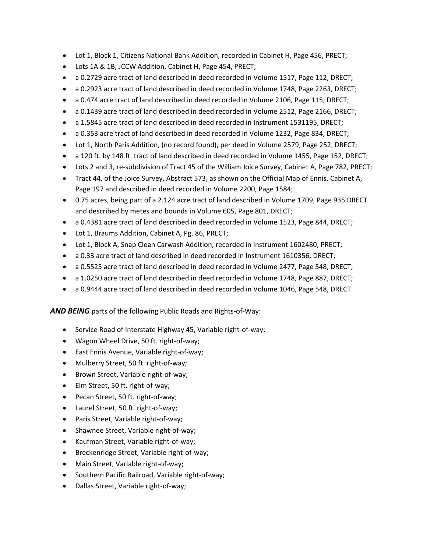- Lot 1, Block 1, Citizens National Bank Addition, recorded in Cabinet H, Page 456, PRECT;
- Lots 1A & 1B, JCCW Addition, Cabinet H, Page 454, PRECT;
- a 0.2729 acre tract of land described in deed recorded in Volume 1517, Page 112, DRECT;
- a 0.2923 acre tract of land described in deed recorded in Volume 1748, Page 2263, DRECT;
- a 0.474 acre tract of land described in deed recorded in Volume 2106, Page 115, DRECT;
- a 0.1439 acre tract of land described in deed recorded in Volume 2512, Page 2166, DRECT;
- a 1.5845 acre tract of land described in deed recorded in Instrument 1531195, DRECT;
- a 0.353 acre tract of land described in deed recorded in Volume 1232, Page 834, DRECT;
- Lot 1, North Paris Addition, (no record found), per deed in Volume 2579, Page 252, DRECT;
- a 120 ft. by 148 ft. tract of land described in deed recorded in Volume 1455, Page 152, DRECT;
- Lots 2 and 3, re-subdivision of Tract 45 of the William Joice Survey, Cabinet A, Page 782, PRECT;
- Tract 44, of the Joice Survey, Abstract 573, as shown on the Official Map of Ennis, Cabinet A, Page 197 and described in deed recorded in Volume 2200, Page 1584;
- 0.75 acres, being part of a 2.124 acre tract of land described in Volume 1709, Page 935 DRECT and described by metes and bounds in Volume 605, Page 801, DRECT;
- a 0.4381 acre tract of land described in deed recorded in Volume 1523, Page 844, DRECT;
- Lot 1, Braums Addition, Cabinet A, Pg. 86, PRECT;
- Lot 1, Block A, Snap Clean Carwash Addition, recorded in Instrument 1602480, PRECT;
- a 0.33 acre tract of land described in deed recorded in Instrument 1610356, DRECT;
- a 0.5525 acre tract of land described in deed recorded in Volume 2477, Page 548, DRECT;
- a 1.0250 acre tract of land described in deed recorded in Volume 1748, Page 887, DRECT;
- a 0.9444 acre tract of land described in deed recorded in Volume 1046, Page 548, DRECT

*AND BEING* parts of the following Public Roads and Rights‐of‐Way:

- Service Road of Interstate Highway 45, Variable right-of-way;
- Wagon Wheel Drive, 50 ft. right‐of‐way;
- East Ennis Avenue, Variable right‐of‐way;
- Mulberry Street, 50 ft. right‐of‐way;
- Brown Street, Variable right-of-way;
- Elm Street, 50 ft. right‐of‐way;
- Pecan Street, 50 ft. right-of-way;
- Laurel Street, 50 ft. right‐of‐way;
- Paris Street, Variable right-of-way;
- Shawnee Street, Variable right-of-way;
- Kaufman Street, Variable right-of-way;
- Breckenridge Street, Variable right-of-way;
- Main Street, Variable right-of-way;
- Southern Pacific Railroad, Variable right‐of‐way;
- Dallas Street, Variable right-of-way;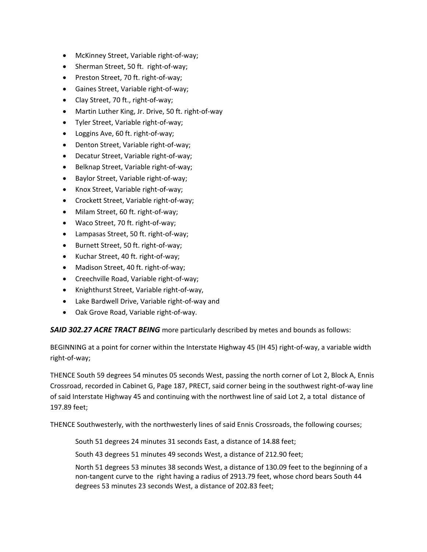- McKinney Street, Variable right-of-way;
- Sherman Street, 50 ft. right-of-way;
- Preston Street, 70 ft. right-of-way;
- Gaines Street, Variable right‐of‐way;
- Clay Street, 70 ft., right‐of‐way;
- Martin Luther King, Jr. Drive, 50 ft. right‐of‐way
- Tyler Street, Variable right‐of‐way;
- Loggins Ave, 60 ft. right‐of‐way;
- Denton Street, Variable right-of-way;
- Decatur Street, Variable right-of-way;
- Belknap Street, Variable right-of-way;
- Baylor Street, Variable right-of-way;
- Knox Street, Variable right-of-way;
- Crockett Street, Variable right‐of‐way;
- Milam Street, 60 ft. right-of-way;
- Waco Street, 70 ft. right‐of‐way;
- Lampasas Street, 50 ft. right‐of‐way;
- Burnett Street, 50 ft. right-of-way;
- Kuchar Street, 40 ft. right-of-way;
- Madison Street, 40 ft. right-of-way;
- Creechville Road, Variable right-of-way;
- Knighthurst Street, Variable right-of-way,
- Lake Bardwell Drive, Variable right‐of‐way and
- Oak Grove Road, Variable right-of-way.

*SAID 302.27 ACRE TRACT BEING* more particularly described by metes and bounds as follows:

BEGINNING at a point for corner within the Interstate Highway 45 (IH 45) right‐of‐way, a variable width right‐of‐way;

THENCE South 59 degrees 54 minutes 05 seconds West, passing the north corner of Lot 2, Block A, Ennis Crossroad, recorded in Cabinet G, Page 187, PRECT, said corner being in the southwest right‐of‐way line of said Interstate Highway 45 and continuing with the northwest line of said Lot 2, a total distance of 197.89 feet;

THENCE Southwesterly, with the northwesterly lines of said Ennis Crossroads, the following courses;

South 51 degrees 24 minutes 31 seconds East, a distance of 14.88 feet;

South 43 degrees 51 minutes 49 seconds West, a distance of 212.90 feet;

North 51 degrees 53 minutes 38 seconds West, a distance of 130.09 feet to the beginning of a non‐tangent curve to the right having a radius of 2913.79 feet, whose chord bears South 44 degrees 53 minutes 23 seconds West, a distance of 202.83 feet;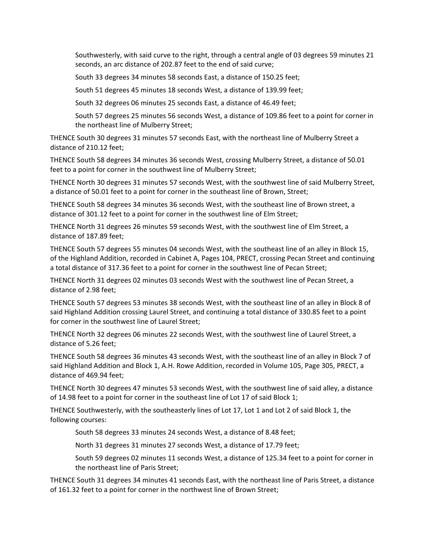Southwesterly, with said curve to the right, through a central angle of 03 degrees 59 minutes 21 seconds, an arc distance of 202.87 feet to the end of said curve;

South 33 degrees 34 minutes 58 seconds East, a distance of 150.25 feet;

South 51 degrees 45 minutes 18 seconds West, a distance of 139.99 feet;

South 32 degrees 06 minutes 25 seconds East, a distance of 46.49 feet;

South 57 degrees 25 minutes 56 seconds West, a distance of 109.86 feet to a point for corner in the northeast line of Mulberry Street;

THENCE South 30 degrees 31 minutes 57 seconds East, with the northeast line of Mulberry Street a distance of 210.12 feet;

THENCE South 58 degrees 34 minutes 36 seconds West, crossing Mulberry Street, a distance of 50.01 feet to a point for corner in the southwest line of Mulberry Street;

THENCE North 30 degrees 31 minutes 57 seconds West, with the southwest line of said Mulberry Street, a distance of 50.01 feet to a point for corner in the southeast line of Brown, Street;

THENCE South 58 degrees 34 minutes 36 seconds West, with the southeast line of Brown street, a distance of 301.12 feet to a point for corner in the southwest line of Elm Street;

THENCE North 31 degrees 26 minutes 59 seconds West, with the southwest line of Elm Street, a distance of 187.89 feet;

THENCE South 57 degrees 55 minutes 04 seconds West, with the southeast line of an alley in Block 15, of the Highland Addition, recorded in Cabinet A, Pages 104, PRECT, crossing Pecan Street and continuing a total distance of 317.36 feet to a point for corner in the southwest line of Pecan Street;

THENCE North 31 degrees 02 minutes 03 seconds West with the southwest line of Pecan Street, a distance of 2.98 feet;

THENCE South 57 degrees 53 minutes 38 seconds West, with the southeast line of an alley in Block 8 of said Highland Addition crossing Laurel Street, and continuing a total distance of 330.85 feet to a point for corner in the southwest line of Laurel Street;

THENCE North 32 degrees 06 minutes 22 seconds West, with the southwest line of Laurel Street, a distance of 5.26 feet;

THENCE South 58 degrees 36 minutes 43 seconds West, with the southeast line of an alley in Block 7 of said Highland Addition and Block 1, A.H. Rowe Addition, recorded in Volume 105, Page 305, PRECT, a distance of 469.94 feet;

THENCE North 30 degrees 47 minutes 53 seconds West, with the southwest line of said alley, a distance of 14.98 feet to a point for corner in the southeast line of Lot 17 of said Block 1;

THENCE Southwesterly, with the southeasterly lines of Lot 17, Lot 1 and Lot 2 of said Block 1, the following courses:

South 58 degrees 33 minutes 24 seconds West, a distance of 8.48 feet;

North 31 degrees 31 minutes 27 seconds West, a distance of 17.79 feet;

South 59 degrees 02 minutes 11 seconds West, a distance of 125.34 feet to a point for corner in the northeast line of Paris Street;

THENCE South 31 degrees 34 minutes 41 seconds East, with the northeast line of Paris Street, a distance of 161.32 feet to a point for corner in the northwest line of Brown Street;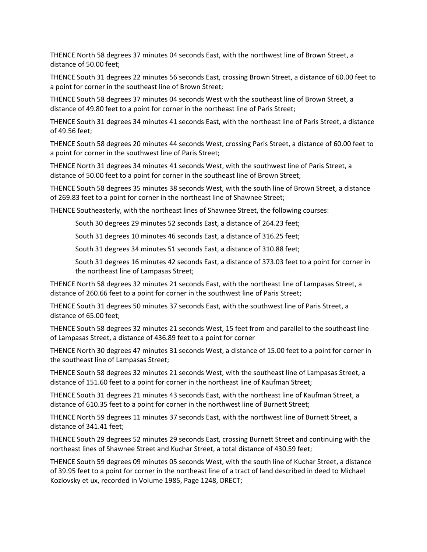THENCE North 58 degrees 37 minutes 04 seconds East, with the northwest line of Brown Street, a distance of 50.00 feet;

THENCE South 31 degrees 22 minutes 56 seconds East, crossing Brown Street, a distance of 60.00 feet to a point for corner in the southeast line of Brown Street;

THENCE South 58 degrees 37 minutes 04 seconds West with the southeast line of Brown Street, a distance of 49.80 feet to a point for corner in the northeast line of Paris Street;

THENCE South 31 degrees 34 minutes 41 seconds East, with the northeast line of Paris Street, a distance of 49.56 feet;

THENCE South 58 degrees 20 minutes 44 seconds West, crossing Paris Street, a distance of 60.00 feet to a point for corner in the southwest line of Paris Street;

THENCE North 31 degrees 34 minutes 41 seconds West, with the southwest line of Paris Street, a distance of 50.00 feet to a point for corner in the southeast line of Brown Street;

THENCE South 58 degrees 35 minutes 38 seconds West, with the south line of Brown Street, a distance of 269.83 feet to a point for corner in the northeast line of Shawnee Street;

THENCE Southeasterly, with the northeast lines of Shawnee Street, the following courses:

South 30 degrees 29 minutes 52 seconds East, a distance of 264.23 feet;

South 31 degrees 10 minutes 46 seconds East, a distance of 316.25 feet;

South 31 degrees 34 minutes 51 seconds East, a distance of 310.88 feet;

South 31 degrees 16 minutes 42 seconds East, a distance of 373.03 feet to a point for corner in the northeast line of Lampasas Street;

THENCE North 58 degrees 32 minutes 21 seconds East, with the northeast line of Lampasas Street, a distance of 260.66 feet to a point for corner in the southwest line of Paris Street;

THENCE South 31 degrees 50 minutes 37 seconds East, with the southwest line of Paris Street, a distance of 65.00 feet;

THENCE South 58 degrees 32 minutes 21 seconds West, 15 feet from and parallel to the southeast line of Lampasas Street, a distance of 436.89 feet to a point for corner

THENCE North 30 degrees 47 minutes 31 seconds West, a distance of 15.00 feet to a point for corner in the southeast line of Lampasas Street;

THENCE South 58 degrees 32 minutes 21 seconds West, with the southeast line of Lampasas Street, a distance of 151.60 feet to a point for corner in the northeast line of Kaufman Street;

THENCE South 31 degrees 21 minutes 43 seconds East, with the northeast line of Kaufman Street, a distance of 610.35 feet to a point for corner in the northwest line of Burnett Street;

THENCE North 59 degrees 11 minutes 37 seconds East, with the northwest line of Burnett Street, a distance of 341.41 feet;

THENCE South 29 degrees 52 minutes 29 seconds East, crossing Burnett Street and continuing with the northeast lines of Shawnee Street and Kuchar Street, a total distance of 430.59 feet;

THENCE South 59 degrees 09 minutes 05 seconds West, with the south line of Kuchar Street, a distance of 39.95 feet to a point for corner in the northeast line of a tract of land described in deed to Michael Kozlovsky et ux, recorded in Volume 1985, Page 1248, DRECT;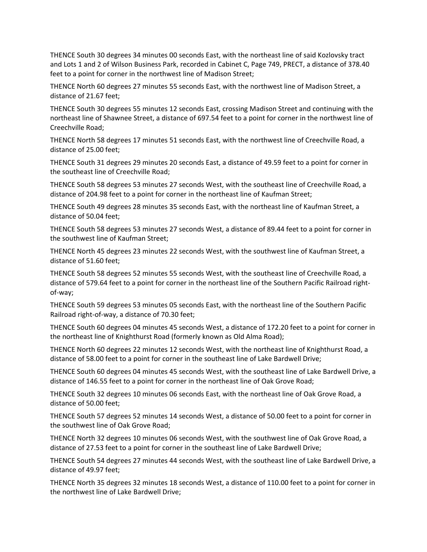THENCE South 30 degrees 34 minutes 00 seconds East, with the northeast line of said Kozlovsky tract and Lots 1 and 2 of Wilson Business Park, recorded in Cabinet C, Page 749, PRECT, a distance of 378.40 feet to a point for corner in the northwest line of Madison Street;

THENCE North 60 degrees 27 minutes 55 seconds East, with the northwest line of Madison Street, a distance of 21.67 feet;

THENCE South 30 degrees 55 minutes 12 seconds East, crossing Madison Street and continuing with the northeast line of Shawnee Street, a distance of 697.54 feet to a point for corner in the northwest line of Creechville Road;

THENCE North 58 degrees 17 minutes 51 seconds East, with the northwest line of Creechville Road, a distance of 25.00 feet;

THENCE South 31 degrees 29 minutes 20 seconds East, a distance of 49.59 feet to a point for corner in the southeast line of Creechville Road;

THENCE South 58 degrees 53 minutes 27 seconds West, with the southeast line of Creechville Road, a distance of 204.98 feet to a point for corner in the northeast line of Kaufman Street;

THENCE South 49 degrees 28 minutes 35 seconds East, with the northeast line of Kaufman Street, a distance of 50.04 feet;

THENCE South 58 degrees 53 minutes 27 seconds West, a distance of 89.44 feet to a point for corner in the southwest line of Kaufman Street;

THENCE North 45 degrees 23 minutes 22 seconds West, with the southwest line of Kaufman Street, a distance of 51.60 feet;

THENCE South 58 degrees 52 minutes 55 seconds West, with the southeast line of Creechville Road, a distance of 579.64 feet to a point for corner in the northeast line of the Southern Pacific Railroad right‐ of‐way;

THENCE South 59 degrees 53 minutes 05 seconds East, with the northeast line of the Southern Pacific Railroad right‐of‐way, a distance of 70.30 feet;

THENCE South 60 degrees 04 minutes 45 seconds West, a distance of 172.20 feet to a point for corner in the northeast line of Knighthurst Road (formerly known as Old Alma Road);

THENCE North 60 degrees 22 minutes 12 seconds West, with the northeast line of Knighthurst Road, a distance of 58.00 feet to a point for corner in the southeast line of Lake Bardwell Drive;

THENCE South 60 degrees 04 minutes 45 seconds West, with the southeast line of Lake Bardwell Drive, a distance of 146.55 feet to a point for corner in the northeast line of Oak Grove Road;

THENCE South 32 degrees 10 minutes 06 seconds East, with the northeast line of Oak Grove Road, a distance of 50.00 feet;

THENCE South 57 degrees 52 minutes 14 seconds West, a distance of 50.00 feet to a point for corner in the southwest line of Oak Grove Road;

THENCE North 32 degrees 10 minutes 06 seconds West, with the southwest line of Oak Grove Road, a distance of 27.53 feet to a point for corner in the southeast line of Lake Bardwell Drive;

THENCE South 54 degrees 27 minutes 44 seconds West, with the southeast line of Lake Bardwell Drive, a distance of 49.97 feet;

THENCE North 35 degrees 32 minutes 18 seconds West, a distance of 110.00 feet to a point for corner in the northwest line of Lake Bardwell Drive;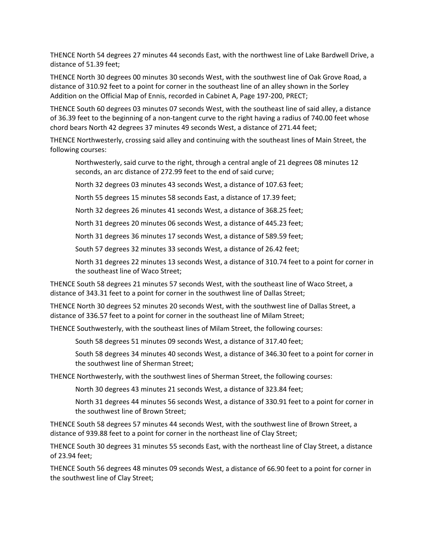THENCE North 54 degrees 27 minutes 44 seconds East, with the northwest line of Lake Bardwell Drive, a distance of 51.39 feet;

THENCE North 30 degrees 00 minutes 30 seconds West, with the southwest line of Oak Grove Road, a distance of 310.92 feet to a point for corner in the southeast line of an alley shown in the Sorley Addition on the Official Map of Ennis, recorded in Cabinet A, Page 197‐200, PRECT;

THENCE South 60 degrees 03 minutes 07 seconds West, with the southeast line of said alley, a distance of 36.39 feet to the beginning of a non-tangent curve to the right having a radius of 740.00 feet whose chord bears North 42 degrees 37 minutes 49 seconds West, a distance of 271.44 feet;

THENCE Northwesterly, crossing said alley and continuing with the southeast lines of Main Street, the following courses:

Northwesterly, said curve to the right, through a central angle of 21 degrees 08 minutes 12 seconds, an arc distance of 272.99 feet to the end of said curve;

North 32 degrees 03 minutes 43 seconds West, a distance of 107.63 feet;

North 55 degrees 15 minutes 58 seconds East, a distance of 17.39 feet;

North 32 degrees 26 minutes 41 seconds West, a distance of 368.25 feet;

North 31 degrees 20 minutes 06 seconds West, a distance of 445.23 feet;

North 31 degrees 36 minutes 17 seconds West, a distance of 589.59 feet;

South 57 degrees 32 minutes 33 seconds West, a distance of 26.42 feet;

North 31 degrees 22 minutes 13 seconds West, a distance of 310.74 feet to a point for corner in the southeast line of Waco Street;

THENCE South 58 degrees 21 minutes 57 seconds West, with the southeast line of Waco Street, a distance of 343.31 feet to a point for corner in the southwest line of Dallas Street;

THENCE North 30 degrees 52 minutes 20 seconds West, with the southwest line of Dallas Street, a distance of 336.57 feet to a point for corner in the southeast line of Milam Street;

THENCE Southwesterly, with the southeast lines of Milam Street, the following courses:

South 58 degrees 51 minutes 09 seconds West, a distance of 317.40 feet;

South 58 degrees 34 minutes 40 seconds West, a distance of 346.30 feet to a point for corner in the southwest line of Sherman Street;

THENCE Northwesterly, with the southwest lines of Sherman Street, the following courses:

North 30 degrees 43 minutes 21 seconds West, a distance of 323.84 feet;

North 31 degrees 44 minutes 56 seconds West, a distance of 330.91 feet to a point for corner in the southwest line of Brown Street;

THENCE South 58 degrees 57 minutes 44 seconds West, with the southwest line of Brown Street, a distance of 939.88 feet to a point for corner in the northeast line of Clay Street;

THENCE South 30 degrees 31 minutes 55 seconds East, with the northeast line of Clay Street, a distance of 23.94 feet;

THENCE South 56 degrees 48 minutes 09 seconds West, a distance of 66.90 feet to a point for corner in the southwest line of Clay Street;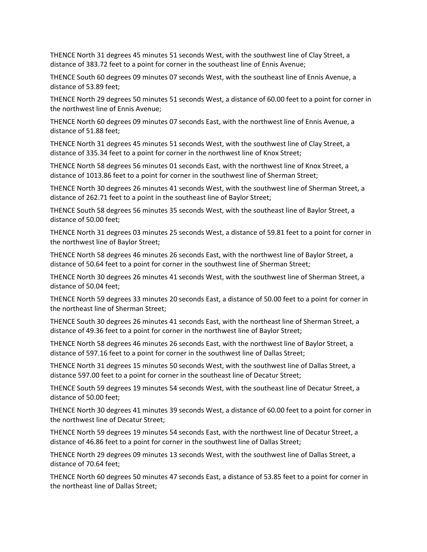THENCE North 31 degrees 45 minutes 51 seconds West, with the southwest line of Clay Street, a distance of 383.72 feet to a point for corner in the southeast line of Ennis Avenue;

THENCE South 60 degrees 09 minutes 07 seconds West, with the southeast line of Ennis Avenue, a distance of 53.89 feet;

THENCE North 29 degrees 50 minutes 51 seconds West, a distance of 60.00 feet to a point for corner in the northwest line of Ennis Avenue;

THENCE North 60 degrees 09 minutes 07 seconds East, with the northwest line of Ennis Avenue, a distance of 51.88 feet;

THENCE North 31 degrees 45 minutes 51 seconds West, with the southwest line of Clay Street, a distance of 335.34 feet to a point for corner in the northwest line of Knox Street;

THENCE North 58 degrees 56 minutes 01 seconds East, with the northwest line of Knox Street, a distance of 1013.86 feet to a point for corner in the southwest line of Sherman Street;

THENCE North 30 degrees 26 minutes 41 seconds West, with the southwest line of Sherman Street, a distance of 262.71 feet to a point in the southeast line of Baylor Street;

THENCE South 58 degrees 56 minutes 35 seconds West, with the southeast line of Baylor Street, a distance of 50.00 feet;

THENCE North 31 degrees 03 minutes 25 seconds West, a distance of 59.81 feet to a point for corner in the northwest line of Baylor Street;

THENCE North 58 degrees 46 minutes 26 seconds East, with the northwest line of Baylor Street, a distance of 50.64 feet to a point for corner in the southwest line of Sherman Street;

THENCE North 30 degrees 26 minutes 41 seconds West, with the southwest line of Sherman Street, a distance of 50.04 feet;

THENCE North 59 degrees 33 minutes 20 seconds East, a distance of 50.00 feet to a point for corner in the northeast line of Sherman Street;

THENCE South 30 degrees 26 minutes 41 seconds East, with the northeast line of Sherman Street, a distance of 49.36 feet to a point for corner in the northwest line of Baylor Street;

THENCE North 58 degrees 46 minutes 26 seconds East, with the northwest line of Baylor Street, a distance of 597.16 feet to a point for corner in the southwest line of Dallas Street;

THENCE North 31 degrees 15 minutes 50 seconds West, with the southwest line of Dallas Street, a distance 597.00 feet to a point for corner in the southeast line of Decatur Street;

THENCE South 59 degrees 19 minutes 54 seconds West, with the southeast line of Decatur Street, a distance of 50.00 feet;

THENCE North 30 degrees 41 minutes 39 seconds West, a distance of 60.00 feet to a point for corner in the northwest line of Decatur Street;

THENCE North 59 degrees 19 minutes 54 seconds East, with the northwest line of Decatur Street, a distance of 46.86 feet to a point for corner in the southwest line of Dallas Street;

THENCE North 29 degrees 09 minutes 13 seconds West, with the southwest line of Dallas Street, a distance of 70.64 feet;

THENCE North 60 degrees 50 minutes 47 seconds East, a distance of 53.85 feet to a point for corner in the northeast line of Dallas Street;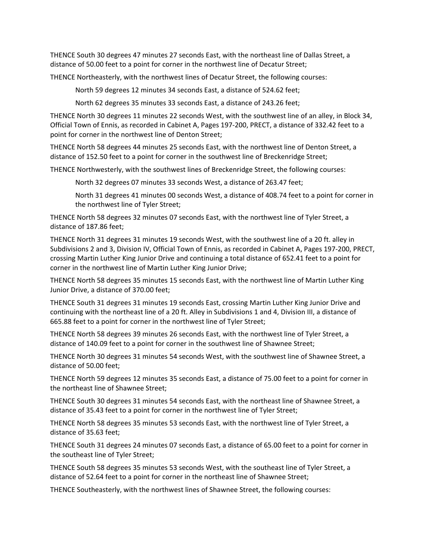THENCE South 30 degrees 47 minutes 27 seconds East, with the northeast line of Dallas Street, a distance of 50.00 feet to a point for corner in the northwest line of Decatur Street;

THENCE Northeasterly, with the northwest lines of Decatur Street, the following courses:

North 59 degrees 12 minutes 34 seconds East, a distance of 524.62 feet;

North 62 degrees 35 minutes 33 seconds East, a distance of 243.26 feet;

THENCE North 30 degrees 11 minutes 22 seconds West, with the southwest line of an alley, in Block 34, Official Town of Ennis, as recorded in Cabinet A, Pages 197‐200, PRECT, a distance of 332.42 feet to a point for corner in the northwest line of Denton Street;

THENCE North 58 degrees 44 minutes 25 seconds East, with the northwest line of Denton Street, a distance of 152.50 feet to a point for corner in the southwest line of Breckenridge Street;

THENCE Northwesterly, with the southwest lines of Breckenridge Street, the following courses:

North 32 degrees 07 minutes 33 seconds West, a distance of 263.47 feet;

North 31 degrees 41 minutes 00 seconds West, a distance of 408.74 feet to a point for corner in the northwest line of Tyler Street;

THENCE North 58 degrees 32 minutes 07 seconds East, with the northwest line of Tyler Street, a distance of 187.86 feet;

THENCE North 31 degrees 31 minutes 19 seconds West, with the southwest line of a 20 ft. alley in Subdivisions 2 and 3, Division IV, Official Town of Ennis, as recorded in Cabinet A, Pages 197‐200, PRECT, crossing Martin Luther King Junior Drive and continuing a total distance of 652.41 feet to a point for corner in the northwest line of Martin Luther King Junior Drive;

THENCE North 58 degrees 35 minutes 15 seconds East, with the northwest line of Martin Luther King Junior Drive, a distance of 370.00 feet;

THENCE South 31 degrees 31 minutes 19 seconds East, crossing Martin Luther King Junior Drive and continuing with the northeast line of a 20 ft. Alley in Subdivisions 1 and 4, Division III, a distance of 665.88 feet to a point for corner in the northwest line of Tyler Street;

THENCE North 58 degrees 39 minutes 26 seconds East, with the northwest line of Tyler Street, a distance of 140.09 feet to a point for corner in the southwest line of Shawnee Street;

THENCE North 30 degrees 31 minutes 54 seconds West, with the southwest line of Shawnee Street, a distance of 50.00 feet;

THENCE North 59 degrees 12 minutes 35 seconds East, a distance of 75.00 feet to a point for corner in the northeast line of Shawnee Street;

THENCE South 30 degrees 31 minutes 54 seconds East, with the northeast line of Shawnee Street, a distance of 35.43 feet to a point for corner in the northwest line of Tyler Street;

THENCE North 58 degrees 35 minutes 53 seconds East, with the northwest line of Tyler Street, a distance of 35.63 feet;

THENCE South 31 degrees 24 minutes 07 seconds East, a distance of 65.00 feet to a point for corner in the southeast line of Tyler Street;

THENCE South 58 degrees 35 minutes 53 seconds West, with the southeast line of Tyler Street, a distance of 52.64 feet to a point for corner in the northeast line of Shawnee Street;

THENCE Southeasterly, with the northwest lines of Shawnee Street, the following courses: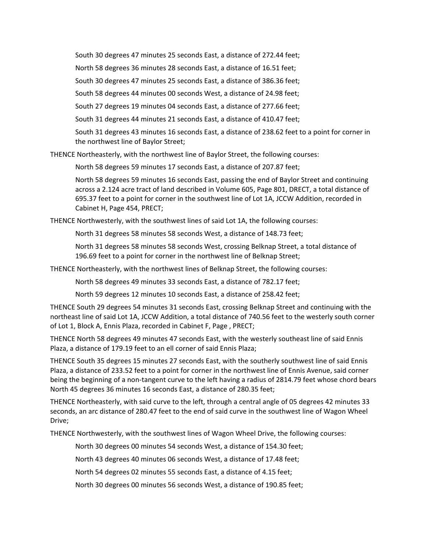South 30 degrees 47 minutes 25 seconds East, a distance of 272.44 feet;

North 58 degrees 36 minutes 28 seconds East, a distance of 16.51 feet;

South 30 degrees 47 minutes 25 seconds East, a distance of 386.36 feet;

South 58 degrees 44 minutes 00 seconds West, a distance of 24.98 feet;

South 27 degrees 19 minutes 04 seconds East, a distance of 277.66 feet;

South 31 degrees 44 minutes 21 seconds East, a distance of 410.47 feet;

South 31 degrees 43 minutes 16 seconds East, a distance of 238.62 feet to a point for corner in the northwest line of Baylor Street;

THENCE Northeasterly, with the northwest line of Baylor Street, the following courses:

North 58 degrees 59 minutes 17 seconds East, a distance of 207.87 feet;

North 58 degrees 59 minutes 16 seconds East, passing the end of Baylor Street and continuing across a 2.124 acre tract of land described in Volume 605, Page 801, DRECT, a total distance of 695.37 feet to a point for corner in the southwest line of Lot 1A, JCCW Addition, recorded in Cabinet H, Page 454, PRECT;

THENCE Northwesterly, with the southwest lines of said Lot 1A, the following courses:

North 31 degrees 58 minutes 58 seconds West, a distance of 148.73 feet;

North 31 degrees 58 minutes 58 seconds West, crossing Belknap Street, a total distance of 196.69 feet to a point for corner in the northwest line of Belknap Street;

THENCE Northeasterly, with the northwest lines of Belknap Street, the following courses:

North 58 degrees 49 minutes 33 seconds East, a distance of 782.17 feet;

North 59 degrees 12 minutes 10 seconds East, a distance of 258.42 feet;

THENCE South 29 degrees 54 minutes 31 seconds East, crossing Belknap Street and continuing with the northeast line of said Lot 1A, JCCW Addition, a total distance of 740.56 feet to the westerly south corner of Lot 1, Block A, Ennis Plaza, recorded in Cabinet F, Page , PRECT;

THENCE North 58 degrees 49 minutes 47 seconds East, with the westerly southeast line of said Ennis Plaza, a distance of 179.19 feet to an ell corner of said Ennis Plaza;

THENCE South 35 degrees 15 minutes 27 seconds East, with the southerly southwest line of said Ennis Plaza, a distance of 233.52 feet to a point for corner in the northwest line of Ennis Avenue, said corner being the beginning of a non-tangent curve to the left having a radius of 2814.79 feet whose chord bears North 45 degrees 36 minutes 16 seconds East, a distance of 280.35 feet;

THENCE Northeasterly, with said curve to the left, through a central angle of 05 degrees 42 minutes 33 seconds, an arc distance of 280.47 feet to the end of said curve in the southwest line of Wagon Wheel Drive;

THENCE Northwesterly, with the southwest lines of Wagon Wheel Drive, the following courses:

North 30 degrees 00 minutes 54 seconds West, a distance of 154.30 feet;

North 43 degrees 40 minutes 06 seconds West, a distance of 17.48 feet;

North 54 degrees 02 minutes 55 seconds East, a distance of 4.15 feet;

North 30 degrees 00 minutes 56 seconds West, a distance of 190.85 feet;